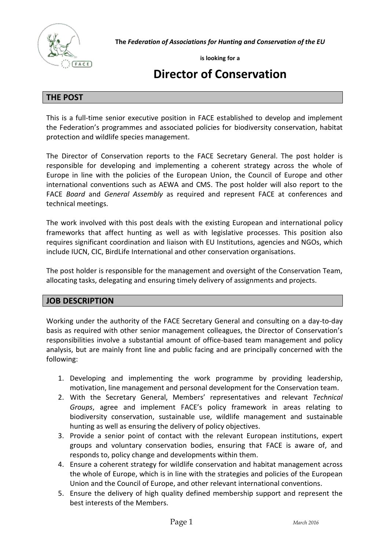

**The** *Federation of Associations for Hunting and Conservation of the EU*

**is looking for a** 

# **Director of Conservation**

## **THE POST**

This is a full-time senior executive position in FACE established to develop and implement the Federation's programmes and associated policies for biodiversity conservation, habitat protection and wildlife species management.

The Director of Conservation reports to the FACE Secretary General. The post holder is responsible for developing and implementing a coherent strategy across the whole of Europe in line with the policies of the European Union, the Council of Europe and other international conventions such as AEWA and CMS. The post holder will also report to the FACE *Board* and *General Assembly* as required and represent FACE at conferences and technical meetings.

The work involved with this post deals with the existing European and international policy frameworks that affect hunting as well as with legislative processes. This position also requires significant coordination and liaison with EU Institutions, agencies and NGOs, which include IUCN, CIC, BirdLife International and other conservation organisations.

The post holder is responsible for the management and oversight of the Conservation Team, allocating tasks, delegating and ensuring timely delivery of assignments and projects.

# **JOB DESCRIPTION**

Working under the authority of the FACE Secretary General and consulting on a day-to-day basis as required with other senior management colleagues, the Director of Conservation's responsibilities involve a substantial amount of office-based team management and policy analysis, but are mainly front line and public facing and are principally concerned with the following:

- 1. Developing and implementing the work programme by providing leadership, motivation, line management and personal development for the Conservation team.
- 2. With the Secretary General, Members' representatives and relevant *Technical Groups*, agree and implement FACE's policy framework in areas relating to biodiversity conservation, sustainable use, wildlife management and sustainable hunting as well as ensuring the delivery of policy objectives.
- 3. Provide a senior point of contact with the relevant European institutions, expert groups and voluntary conservation bodies, ensuring that FACE is aware of, and responds to, policy change and developments within them.
- 4. Ensure a coherent strategy for wildlife conservation and habitat management across the whole of Europe, which is in line with the strategies and policies of the European Union and the Council of Europe, and other relevant international conventions.
- 5. Ensure the delivery of high quality defined membership support and represent the best interests of the Members.